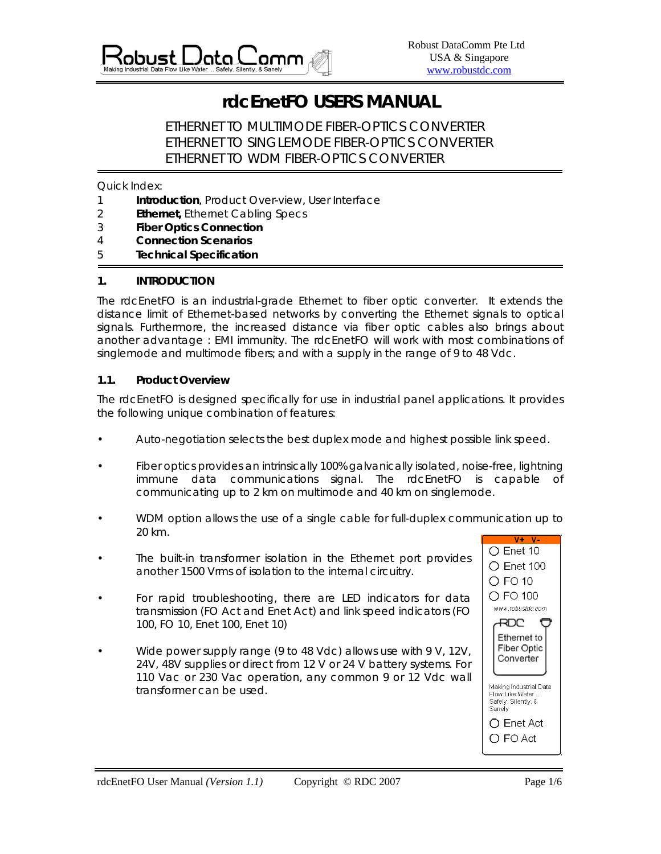

# **rdcEnetFO USERS MANUAL**

 ETHERNET TO MULTIMODE FIBER-OPTICS CONVERTER ETHERNET TO SINGLEMODE FIBER-OPTICS CONVERTER ETHERNET TO WDM FIBER-OPTICS CONVERTER

Quick Index:

- 1 **Introduction**, Product Over-view, User Interface
- 2 **Ethernet,** Ethernet Cabling Specs
- 3 **Fiber Optics Connection**
- 4 **Connection Scenarios**
- 5 **Technical Specification**

## **1. INTRODUCTION**

The rdcEnetFO is an industrial-grade Ethernet to fiber optic converter. It extends the distance limit of Ethernet-based networks by converting the Ethernet signals to optical signals. Furthermore, the increased distance via fiber optic cables also brings about another advantage : EMI immunity. The rdcEnetFO will work with most combinations of singlemode and multimode fibers; and with a supply in the range of 9 to 48 Vdc.

# **1.1. Product Overview**

The rdcEnetFO is designed specifically for use in industrial panel applications. It provides the following unique combination of features:

- Auto-negotiation selects the best duplex mode and highest possible link speed.
- Fiber optics provides an intrinsically 100% galvanically isolated, noise-free, lightning immune data communications signal. The rdcEnetFO is capable of communicating up to 2 km on multimode and 40 km on singlemode.
- WDM option allows the use of a single cable for full-duplex communication up to 20 km.
- The built-in transformer isolation in the Ethernet port provides another 1500 Vrms of isolation to the internal circuitry.
- For rapid troubleshooting, there are LED indicators for data transmission (FO Act and Enet Act) and link speed indicators (FO 100, FO 10, Enet 100, Enet 10)
- Wide power supply range (9 to 48 Vdc) allows use with 9 V, 12V, 24V, 48V supplies or direct from 12 V or 24 V battery systems. For 110 Vac or 230 Vac operation, any common 9 or 12 Vdc wall transformer can be used.

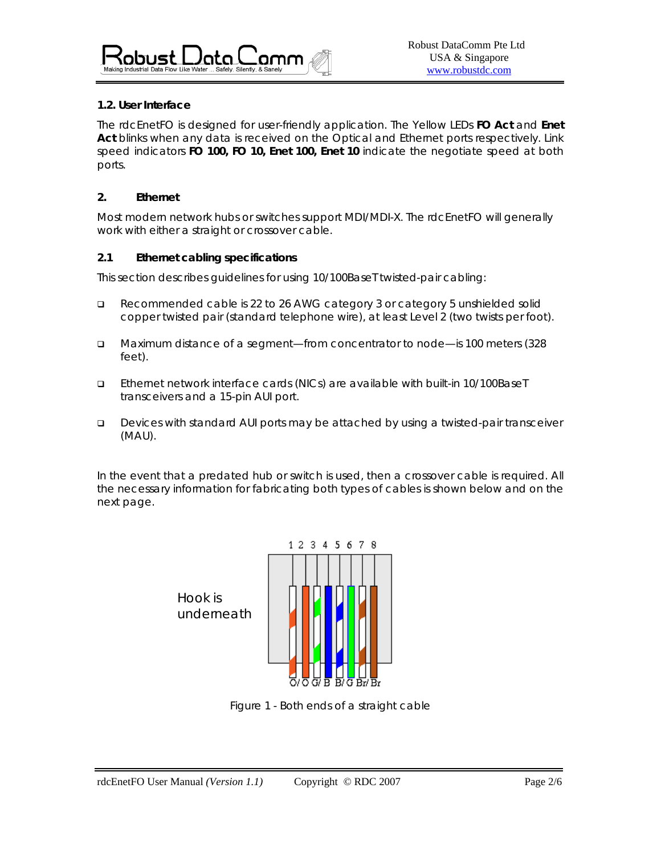

# **1.2. User Interface**

The rdcEnetFO is designed for user-friendly application. The Yellow LEDs **FO Act** and **Enet Act** blinks when any data is received on the Optical and Ethernet ports respectively. Link speed indicators **FO 100, FO 10, Enet 100, Enet 10** indicate the negotiate speed at both ports.

### **2. Ethernet**

Most modern network hubs or switches support MDI/MDI-X. The rdcEnetFO will generally work with either a straight or crossover cable.

## **2.1 Ethernet cabling specifications**

This section describes guidelines for using 10/100BaseT twisted-pair cabling:

- Recommended cable is 22 to 26 AWG category 3 or category 5 unshielded solid copper twisted pair (standard telephone wire), at least Level 2 (two twists per foot).
- Maximum distance of a segment—from concentrator to node—is 100 meters (328 feet).
- Ethernet network interface cards (NICs) are available with built-in 10/100BaseT transceivers and a 15-pin AUI port.
- Devices with standard AUI ports may be attached by using a twisted-pair transceiver (MAU).

In the event that a predated hub or switch is used, then a crossover cable is required. All the necessary information for fabricating both types of cables is shown below and on the next page.



Figure 1 - Both ends of a straight cable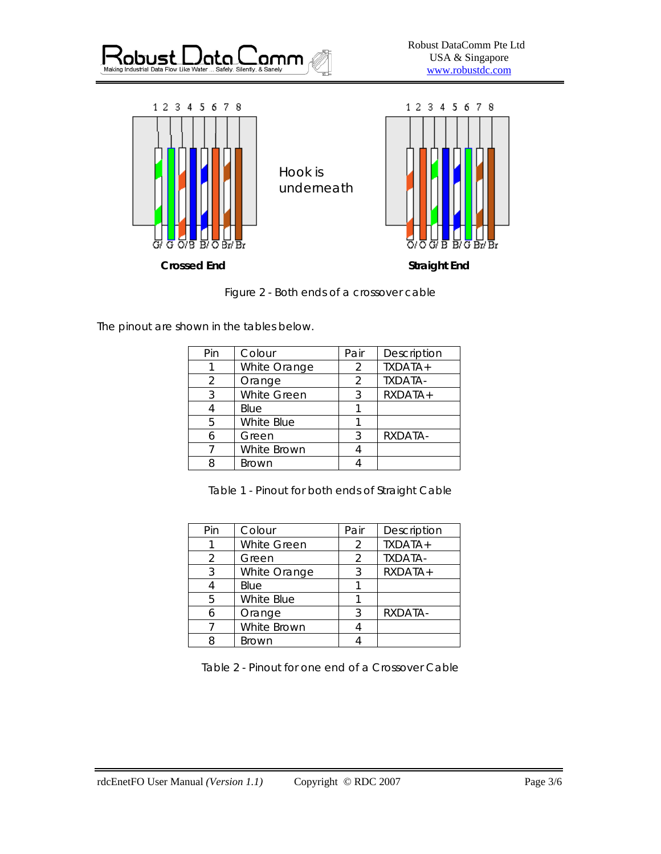



Figure 2 - Both ends of a crossover cable

The pinout are shown in the tables below.

| Pin | Colour             | Pair | Description |
|-----|--------------------|------|-------------|
|     | White Orange       | 2    | TXDATA+     |
| 2   | Orange             | 2    | TXDATA-     |
| 3   | <b>White Green</b> | 3    | RXDATA+     |
|     | Blue               |      |             |
| 5   | White Blue         |      |             |
|     | Green              | २    | RXDATA-     |
|     | White Brown        |      |             |
|     | <b>Brown</b>       |      |             |

Table 1 - Pinout for both ends of Straight Cable

| Pin | Colour       | Pair           | Description |
|-----|--------------|----------------|-------------|
|     | White Green  | $\mathcal{P}$  | TXDATA+     |
| 2   | Green        | $\mathfrak{D}$ | TXDATA-     |
| 3   | White Orange | 3              | RXDATA+     |
|     | Blue         |                |             |
| 5   | White Blue   |                |             |
| 6   | Orange       | 3              | RXDATA-     |
|     | White Brown  |                |             |
| 8   | <b>Brown</b> |                |             |

Table 2 - Pinout for one end of a Crossover Cable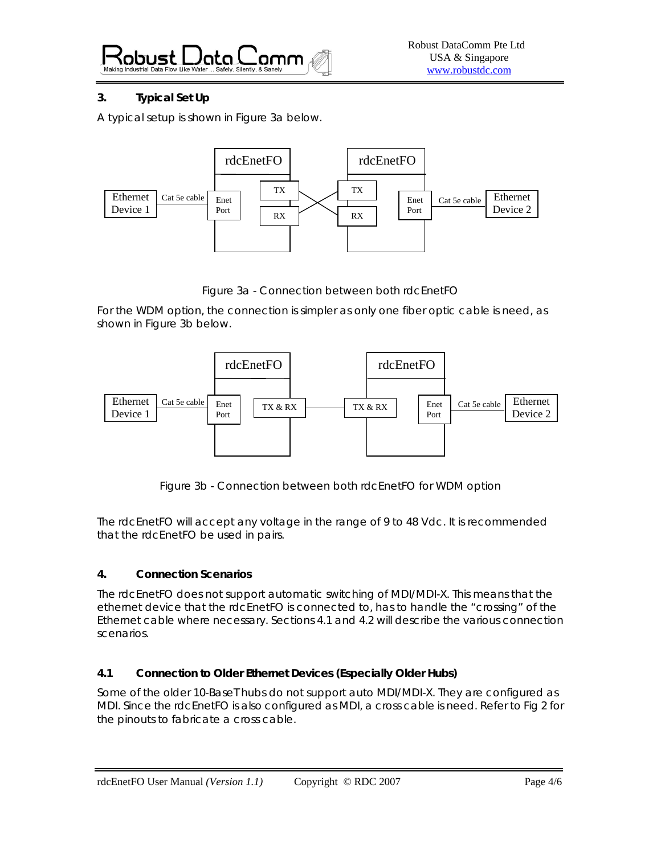Kobust I <u>Jata l</u>

# **3. Typical Set Up**

A typical setup is shown in Figure 3a below.



Figure 3a - Connection between both rdcEnetFO

For the WDM option, the connection is simpler as only one fiber optic cable is need, as shown in Figure 3b below.



Figure 3b - Connection between both rdcEnetFO for WDM option

The rdcEnetFO will accept any voltage in the range of 9 to 48 Vdc. It is recommended that the rdcEnetFO be used in pairs.

# **4. Connection Scenarios**

The rdcEnetFO does not support automatic switching of MDI/MDI-X. This means that the ethernet device that the rdcEnetFO is connected to, has to handle the "crossing" of the Ethernet cable where necessary. Sections 4.1 and 4.2 will describe the various connection scenarios.

# **4.1 Connection to Older Ethernet Devices (Especially Older Hubs)**

Some of the older 10-BaseT hubs do not support auto MDI/MDI-X. They are configured as MDI. Since the rdcEnetFO is also configured as MDI, a cross cable is need. Refer to Fig 2 for the pinouts to fabricate a cross cable.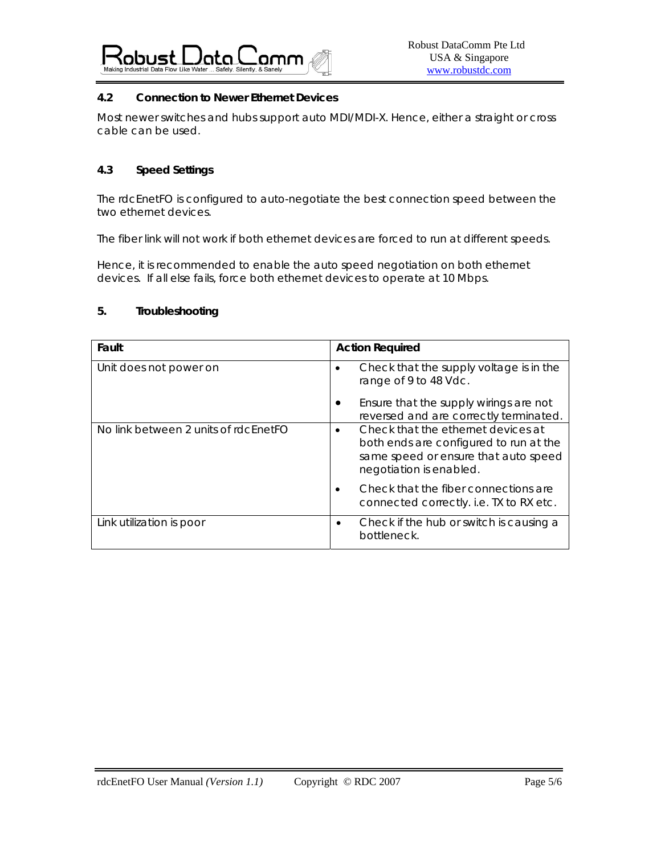

# **4.2 Connection to Newer Ethernet Devices**

Most newer switches and hubs support auto MDI/MDI-X. Hence, either a straight or cross cable can be used.

# **4.3 Speed Settings**

The rdcEnetFO is configured to auto-negotiate the best connection speed between the two ethernet devices.

The fiber link will not work if both ethernet devices are forced to run at different speeds.

Hence, it is recommended to enable the auto speed negotiation on both ethernet devices. If all else fails, force both ethernet devices to operate at 10 Mbps.

# **5. Troubleshooting**

| Fault                                | <b>Action Required</b>                                                                                                                                       |
|--------------------------------------|--------------------------------------------------------------------------------------------------------------------------------------------------------------|
| Unit does not power on               | Check that the supply voltage is in the<br>$\bullet$<br>range of 9 to 48 Vdc.                                                                                |
|                                      | Ensure that the supply wirings are not<br>reversed and are correctly terminated.                                                                             |
| No link between 2 units of rdcEnetFO | Check that the ethernet devices at<br>$\bullet$<br>both ends are configured to run at the<br>same speed or ensure that auto speed<br>negotiation is enabled. |
|                                      | Check that the fiber connections are<br>connected correctly. i.e. TX to RX etc.                                                                              |
| Link utilization is poor             | Check if the hub or switch is causing a<br>٠<br>bottleneck.                                                                                                  |